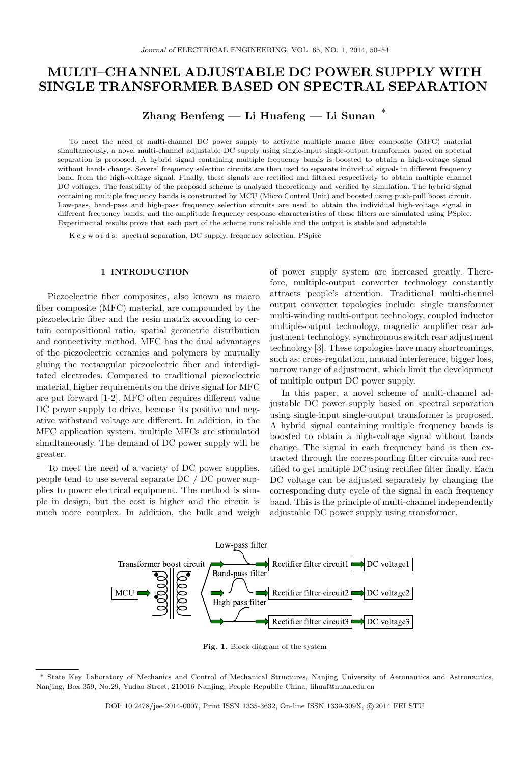# MULTI–CHANNEL ADJUSTABLE DC POWER SUPPLY WITH SINGLE TRANSFORMER BASED ON SPECTRAL SEPARATION

# Zhang Benfeng — Li Huafeng — Li Sunan <sup>∗</sup>

To meet the need of multi-channel DC power supply to activate multiple macro fiber composite (MFC) material simultaneously, a novel multi-channel adjustable DC supply using single-input single-output transformer based on spectral separation is proposed. A hybrid signal containing multiple frequency bands is boosted to obtain a high-voltage signal without bands change. Several frequency selection circuits are then used to separate individual signals in different frequency band from the high-voltage signal. Finally, these signals are rectified and filtered respectively to obtain multiple channel DC voltages. The feasibility of the proposed scheme is analyzed theoretically and verified by simulation. The hybrid signal containing multiple frequency bands is constructed by MCU (Micro Control Unit) and boosted using push-pull boost circuit. Low-pass, band-pass and high-pass frequency selection circuits are used to obtain the individual high-voltage signal in different frequency bands, and the amplitude frequency response characteristics of these filters are simulated using PSpice. Experimental results prove that each part of the scheme runs reliable and the output is stable and adjustable.

K e y w o r d s: spectral separation, DC supply, frequency selection, PSpice

#### 1 INTRODUCTION

Piezoelectric fiber composites, also known as macro fiber composite (MFC) material, are compounded by the piezoelectric fiber and the resin matrix according to certain compositional ratio, spatial geometric distribution and connectivity method. MFC has the dual advantages of the piezoelectric ceramics and polymers by mutually gluing the rectangular piezoelectric fiber and interdigitated electrodes. Compared to traditional piezoelectric material, higher requirements on the drive signal for MFC are put forward [1-2]. MFC often requires different value DC power supply to drive, because its positive and negative withstand voltage are different. In addition, in the MFC application system, multiple MFCs are stimulated simultaneously. The demand of DC power supply will be greater.

To meet the need of a variety of DC power supplies, people tend to use several separate DC / DC power supplies to power electrical equipment. The method is simple in design, but the cost is higher and the circuit is much more complex. In addition, the bulk and weigh of power supply system are increased greatly. Therefore, multiple-output converter technology constantly attracts people's attention. Traditional multi-channel output converter topologies include: single transformer multi-winding multi-output technology, coupled inductor multiple-output technology, magnetic amplifier rear adjustment technology, synchronous switch rear adjustment technology [3]. These topologies have many shortcomings, such as: cross-regulation, mutual interference, bigger loss, narrow range of adjustment, which limit the development of multiple output DC power supply.

In this paper, a novel scheme of multi-channel adjustable DC power supply based on spectral separation using single-input single-output transformer is proposed. A hybrid signal containing multiple frequency bands is boosted to obtain a high-voltage signal without bands change. The signal in each frequency band is then extracted through the corresponding filter circuits and rectified to get multiple DC using rectifier filter finally. Each DC voltage can be adjusted separately by changing the corresponding duty cycle of the signal in each frequency band. This is the principle of multi-channel independently adjustable DC power supply using transformer.



Fig. 1. Block diagram of the system

<sup>∗</sup> State Key Laboratory of Mechanics and Control of Mechanical Structures, Nanjing University of Aeronautics and Astronautics, Nanjing, Box 359, No.29, Yudao Street, 210016 Nanjing, People Republic China, lihuaf@nuaa.edu.cn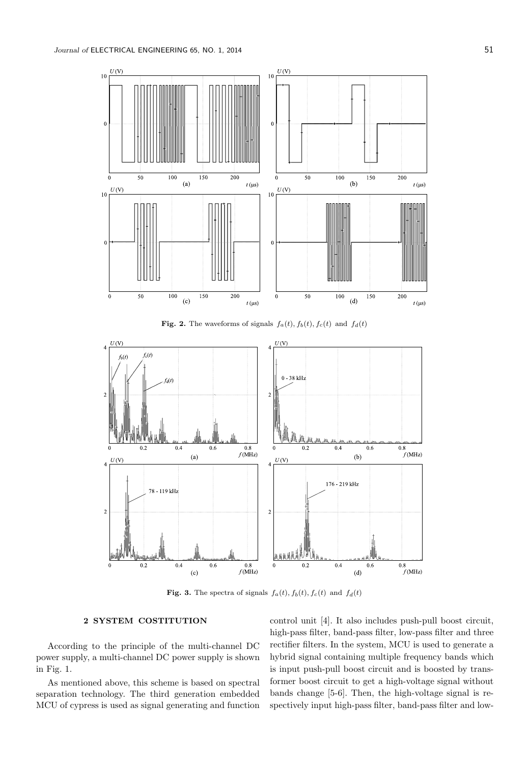

Fig. 2. The waveforms of signals  $f_a(t)$ ,  $f_b(t)$ ,  $f_c(t)$  and  $f_d(t)$ 



Fig. 3. The spectra of signals  $f_a(t)$ ,  $f_b(t)$ ,  $f_c(t)$  and  $f_d(t)$ 

### 2 SYSTEM COSTITUTION

According to the principle of the multi-channel DC power supply, a multi-channel DC power supply is shown in Fig. 1.

As mentioned above, this scheme is based on spectral separation technology. The third generation embedded MCU of cypress is used as signal generating and function

control unit [4]. It also includes push-pull boost circuit, high-pass filter, band-pass filter, low-pass filter and three rectifier filters. In the system, MCU is used to generate a hybrid signal containing multiple frequency bands which is input push-pull boost circuit and is boosted by transformer boost circuit to get a high-voltage signal without bands change [5-6]. Then, the high-voltage signal is respectively input high-pass filter, band-pass filter and low-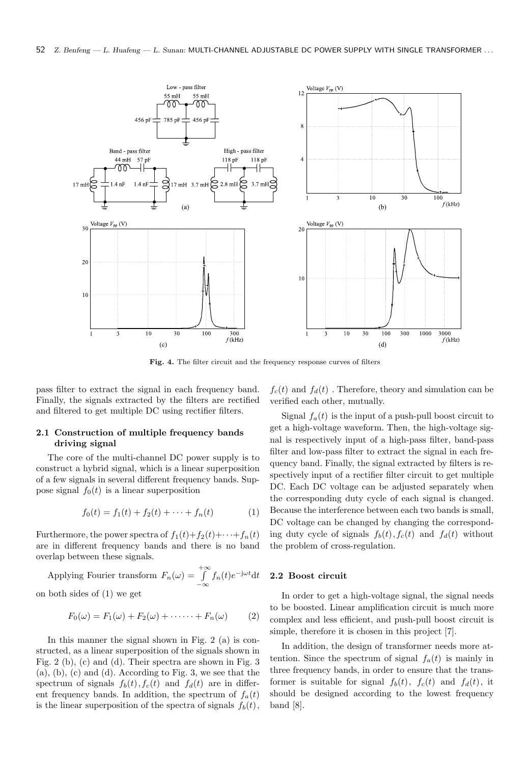

Fig. 4. The filter circuit and the frequency response curves of filters

pass filter to extract the signal in each frequency band. Finally, the signals extracted by the filters are rectified and filtered to get multiple DC using rectifier filters.

### 2.1 Construction of multiple frequency bands driving signal

The core of the multi-channel DC power supply is to construct a hybrid signal, which is a linear superposition of a few signals in several different frequency bands. Suppose signal  $f_0(t)$  is a linear superposition

$$
f_0(t) = f_1(t) + f_2(t) + \dots + f_n(t)
$$
 (1)

Furthermore, the power spectra of  $f_1(t)+f_2(t)+\cdots+f_n(t)$ are in different frequency bands and there is no band overlap between these signals.

Applying Fourier transform  $F_n(\omega) = \int_{-\infty}^{+\infty} f_n(t)e^{-\mathrm{j}\omega t} \mathrm{d}t$ on both sides of (1) we get

$$
F_0(\omega) = F_1(\omega) + F_2(\omega) + \cdots + F_n(\omega) \qquad (2)
$$

In this manner the signal shown in Fig. 2 (a) is constructed, as a linear superposition of the signals shown in Fig. 2 (b), (c) and (d). Their spectra are shown in Fig. 3 (a), (b), (c) and (d). According to Fig. 3, we see that the spectrum of signals  $f_b(t)$ ,  $f_c(t)$  and  $f_d(t)$  are in different frequency bands. In addition, the spectrum of  $f_a(t)$ is the linear superposition of the spectra of signals  $f_b(t)$ ,

 $f_c(t)$  and  $f_d(t)$ . Therefore, theory and simulation can be verified each other, mutually.

Signal  $f_a(t)$  is the input of a push-pull boost circuit to get a high-voltage waveform. Then, the high-voltage signal is respectively input of a high-pass filter, band-pass filter and low-pass filter to extract the signal in each frequency band. Finally, the signal extracted by filters is respectively input of a rectifier filter circuit to get multiple DC. Each DC voltage can be adjusted separately when the corresponding duty cycle of each signal is changed. Because the interference between each two bands is small, DC voltage can be changed by changing the corresponding duty cycle of signals  $f<sub>b</sub>(t)$ ,  $f<sub>c</sub>(t)$  and  $f<sub>d</sub>(t)$  without the problem of cross-regulation.

## 2.2 Boost circuit

In order to get a high-voltage signal, the signal needs to be boosted. Linear amplification circuit is much more complex and less efficient, and push-pull boost circuit is simple, therefore it is chosen in this project [7].

In addition, the design of transformer needs more attention. Since the spectrum of signal  $f_a(t)$  is mainly in three frequency bands, in order to ensure that the transformer is suitable for signal  $f_b(t)$ ,  $f_c(t)$  and  $f_d(t)$ , it should be designed according to the lowest frequency band [8].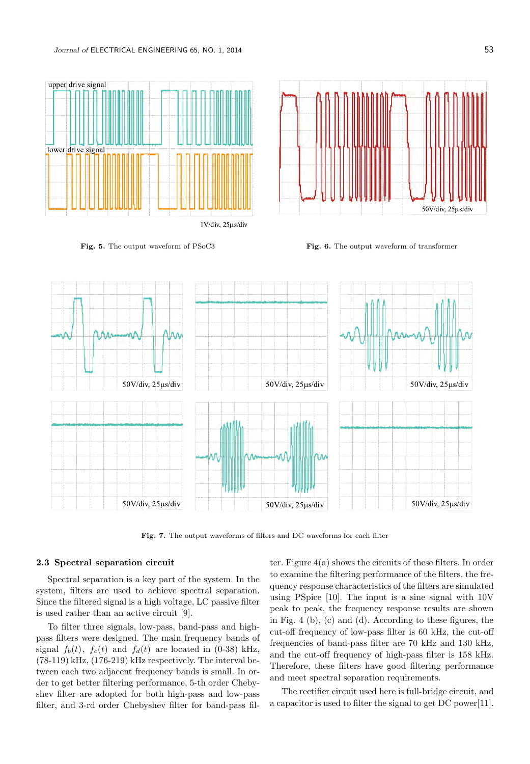





Fig. 5. The output waveform of PSoC3 Fig. 6. The output waveform of transformer



Fig. 7. The output waveforms of filters and DC waveforms for each filter

# 2.3 Spectral separation circuit

Spectral separation is a key part of the system. In the system, filters are used to achieve spectral separation. Since the filtered signal is a high voltage, LC passive filter is used rather than an active circuit [9].

To filter three signals, low-pass, band-pass and highpass filters were designed. The main frequency bands of signal  $f_b(t)$ ,  $f_c(t)$  and  $f_d(t)$  are located in (0-38) kHz, (78-119) kHz, (176-219) kHz respectively. The interval between each two adjacent frequency bands is small. In order to get better filtering performance, 5-th order Chebyshev filter are adopted for both high-pass and low-pass filter, and 3-rd order Chebyshev filter for band-pass filter. Figure 4(a) shows the circuits of these filters. In order to examine the filtering performance of the filters, the frequency response characteristics of the filters are simulated using PSpice [10]. The input is a sine signal with 10V peak to peak, the frequency response results are shown in Fig. 4 (b), (c) and (d). According to these figures, the cut-off frequency of low-pass filter is 60 kHz, the cut-off frequencies of band-pass filter are 70 kHz and 130 kHz, and the cut-off frequency of high-pass filter is 158 kHz. Therefore, these filters have good filtering performance and meet spectral separation requirements.

The rectifier circuit used here is full-bridge circuit, and a capacitor is used to filter the signal to get DC power[11].